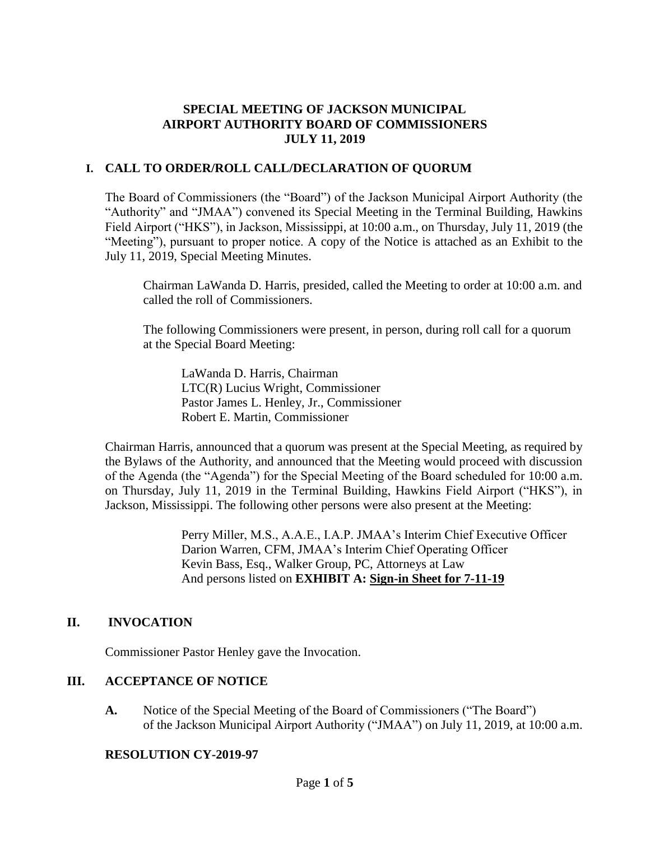# **SPECIAL MEETING OF JACKSON MUNICIPAL AIRPORT AUTHORITY BOARD OF COMMISSIONERS JULY 11, 2019**

# **I. CALL TO ORDER/ROLL CALL/DECLARATION OF QUORUM**

The Board of Commissioners (the "Board") of the Jackson Municipal Airport Authority (the "Authority" and "JMAA") convened its Special Meeting in the Terminal Building, Hawkins Field Airport ("HKS"), in Jackson, Mississippi, at 10:00 a.m., on Thursday, July 11, 2019 (the "Meeting"), pursuant to proper notice. A copy of the Notice is attached as an Exhibit to the July 11, 2019, Special Meeting Minutes.

Chairman LaWanda D. Harris, presided, called the Meeting to order at 10:00 a.m. and called the roll of Commissioners.

The following Commissioners were present, in person, during roll call for a quorum at the Special Board Meeting:

LaWanda D. Harris, Chairman LTC(R) Lucius Wright, Commissioner Pastor James L. Henley, Jr., Commissioner Robert E. Martin, Commissioner

Chairman Harris, announced that a quorum was present at the Special Meeting, as required by the Bylaws of the Authority, and announced that the Meeting would proceed with discussion of the Agenda (the "Agenda") for the Special Meeting of the Board scheduled for 10:00 a.m. on Thursday, July 11, 2019 in the Terminal Building, Hawkins Field Airport ("HKS"), in Jackson, Mississippi. The following other persons were also present at the Meeting:

> Perry Miller, M.S., A.A.E., I.A.P. JMAA's Interim Chief Executive Officer Darion Warren, CFM, JMAA's Interim Chief Operating Officer Kevin Bass, Esq., Walker Group, PC, Attorneys at Law And persons listed on **EXHIBIT A: Sign[-in](../../2019-01-28%20Board%20Meeting/2017-07-27%20Board%20Meeting/2016-09-22%20Board%20Meeting/Rescheduled%20Regular%20Board%20Meeting%20Sign%20in%20Sheet%20August%2029%202016.pdf) [Sheet](../../2019-01-28%20Board%20Meeting/2017-07-27%20Board%20Meeting/Drafts/2017-MAR%2027-bmr.pdf) for 7-11-19**

# **II. INVOCATION**

Commissioner Pastor Henley gave the Invocation.

# **III. ACCEPTANCE OF NOTICE**

**A.** Notice of the Special Meeting of the Board of Commissioners ("The Board") of the Jackson Municipal Airport Authority ("JMAA") on July 11, 2019, at 10:00 a.m.

# **RESOLUTION CY-2019-97**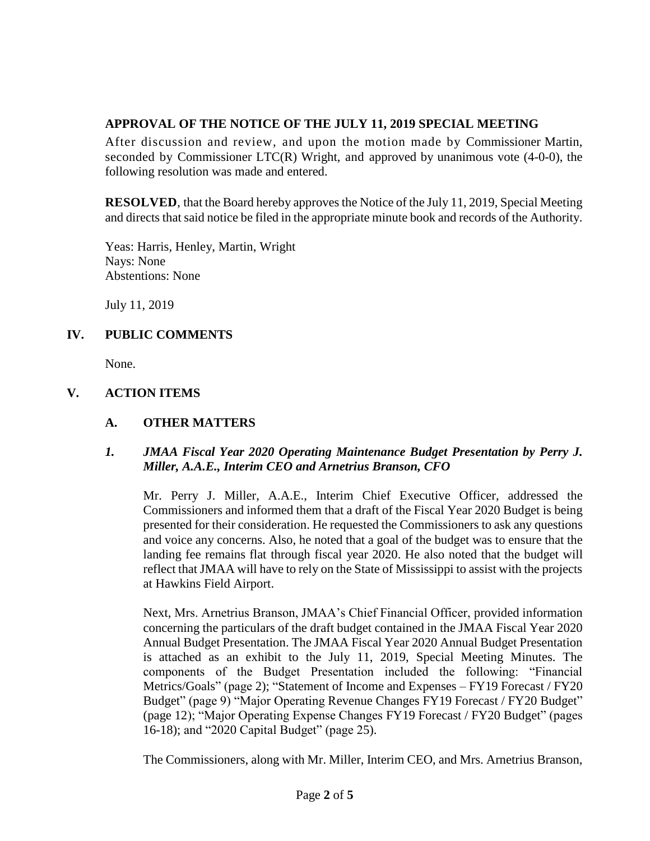# **APPROVAL OF THE NOTICE OF THE JULY 11, 2019 SPECIAL MEETING**

After discussion and review, and upon the motion made by Commissioner Martin, seconded by Commissioner LTC(R) Wright, and approved by unanimous vote (4-0-0), the following resolution was made and entered.

**RESOLVED**, that the Board hereby approves the Notice of the July 11, 2019, Special Meeting and directs that said notice be filed in the appropriate minute book and records of the Authority.

Yeas: Harris, Henley, Martin, Wright Nays: None Abstentions: None

July 11, 2019

# **IV. PUBLIC COMMENTS**

None.

# **V. ACTION ITEMS**

# **A. OTHER MATTERS**

#### *1. JMAA Fiscal Year 2020 Operating Maintenance Budget Presentation by Perry J. Miller, A.A.E., Interim CEO and Arnetrius Branson, CFO*

Mr. Perry J. Miller, A.A.E., Interim Chief Executive Officer, addressed the Commissioners and informed them that a draft of the Fiscal Year 2020 Budget is being presented for their consideration. He requested the Commissioners to ask any questions and voice any concerns. Also, he noted that a goal of the budget was to ensure that the landing fee remains flat through fiscal year 2020. He also noted that the budget will reflect that JMAA will have to rely on the State of Mississippi to assist with the projects at Hawkins Field Airport.

Next, Mrs. Arnetrius Branson, JMAA's Chief Financial Officer, provided information concerning the particulars of the draft budget contained in the JMAA Fiscal Year 2020 Annual Budget Presentation. The JMAA Fiscal Year 2020 Annual Budget Presentation is attached as an exhibit to the July 11, 2019, Special Meeting Minutes. The components of the Budget Presentation included the following: "Financial Metrics/Goals" (page 2); "Statement of Income and Expenses – FY19 Forecast / FY20 Budget" (page 9) "Major Operating Revenue Changes FY19 Forecast / FY20 Budget" (page 12); "Major Operating Expense Changes FY19 Forecast / FY20 Budget" (pages 16-18); and "2020 Capital Budget" (page 25).

The Commissioners, along with Mr. Miller, Interim CEO, and Mrs. Arnetrius Branson,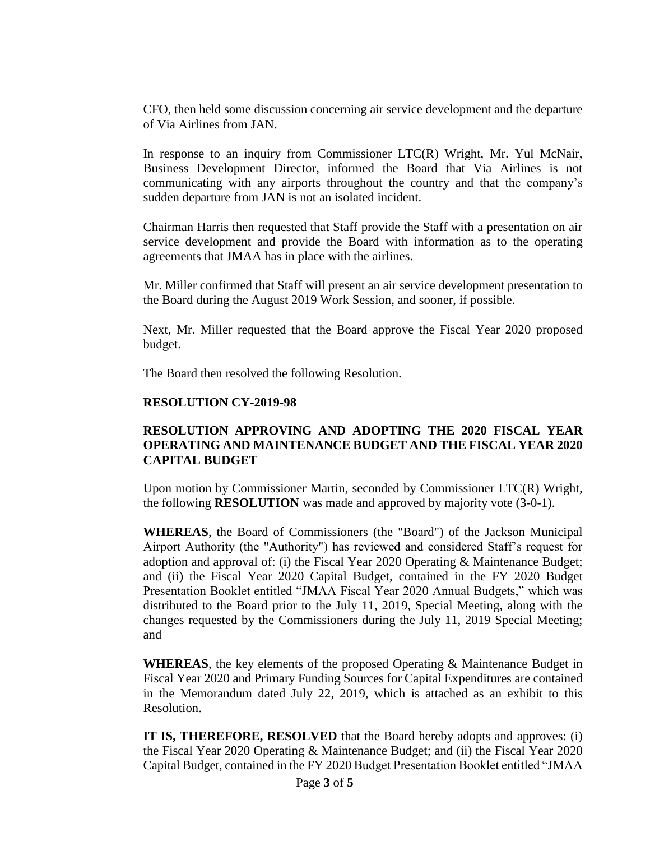CFO, then held some discussion concerning air service development and the departure of Via Airlines from JAN.

In response to an inquiry from Commissioner LTC(R) Wright, Mr. Yul McNair, Business Development Director, informed the Board that Via Airlines is not communicating with any airports throughout the country and that the company's sudden departure from JAN is not an isolated incident.

Chairman Harris then requested that Staff provide the Staff with a presentation on air service development and provide the Board with information as to the operating agreements that JMAA has in place with the airlines.

Mr. Miller confirmed that Staff will present an air service development presentation to the Board during the August 2019 Work Session, and sooner, if possible.

Next, Mr. Miller requested that the Board approve the Fiscal Year 2020 proposed budget.

The Board then resolved the following Resolution.

#### **RESOLUTION CY-2019-98**

# **RESOLUTION APPROVING AND ADOPTING THE 2020 FISCAL YEAR OPERATING AND MAINTENANCE BUDGET AND THE FISCAL YEAR 2020 CAPITAL BUDGET**

Upon motion by Commissioner Martin, seconded by Commissioner LTC(R) Wright, the following **RESOLUTION** was made and approved by majority vote (3-0-1).

**WHEREAS**, the Board of Commissioners (the "Board") of the Jackson Municipal Airport Authority (the "Authority") has reviewed and considered Staff's request for adoption and approval of: (i) the Fiscal Year 2020 Operating & Maintenance Budget; and (ii) the Fiscal Year 2020 Capital Budget, contained in the FY 2020 Budget Presentation Booklet entitled "JMAA Fiscal Year 2020 Annual Budgets," which was distributed to the Board prior to the July 11, 2019, Special Meeting, along with the changes requested by the Commissioners during the July 11, 2019 Special Meeting; and

**WHEREAS**, the key elements of the proposed Operating & Maintenance Budget in Fiscal Year 2020 and Primary Funding Sources for Capital Expenditures are contained in the Memorandum dated July 22, 2019, which is attached as an exhibit to this Resolution.

**IT IS, THEREFORE, RESOLVED** that the Board hereby adopts and approves: (i) the Fiscal Year 2020 Operating & Maintenance Budget; and (ii) the Fiscal Year 2020 Capital Budget, contained in the FY 2020 Budget Presentation Booklet entitled "JMAA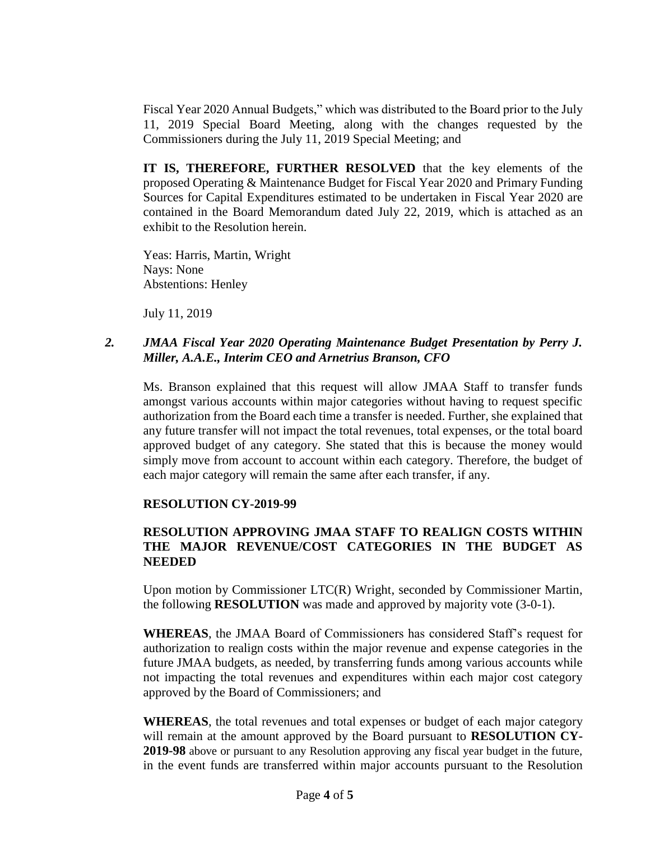Fiscal Year 2020 Annual Budgets," which was distributed to the Board prior to the July 11, 2019 Special Board Meeting, along with the changes requested by the Commissioners during the July 11, 2019 Special Meeting; and

**IT IS, THEREFORE, FURTHER RESOLVED** that the key elements of the proposed Operating & Maintenance Budget for Fiscal Year 2020 and Primary Funding Sources for Capital Expenditures estimated to be undertaken in Fiscal Year 2020 are contained in the Board Memorandum dated July 22, 2019, which is attached as an exhibit to the Resolution herein.

Yeas: Harris, Martin, Wright Nays: None Abstentions: Henley

July 11, 2019

# *2. JMAA Fiscal Year 2020 Operating Maintenance Budget Presentation by Perry J. Miller, A.A.E., Interim CEO and Arnetrius Branson, CFO*

Ms. Branson explained that this request will allow JMAA Staff to transfer funds amongst various accounts within major categories without having to request specific authorization from the Board each time a transfer is needed. Further, she explained that any future transfer will not impact the total revenues, total expenses, or the total board approved budget of any category. She stated that this is because the money would simply move from account to account within each category. Therefore, the budget of each major category will remain the same after each transfer, if any.

#### **RESOLUTION CY-2019-99**

# **RESOLUTION APPROVING JMAA STAFF TO REALIGN COSTS WITHIN THE MAJOR REVENUE/COST CATEGORIES IN THE BUDGET AS NEEDED**

Upon motion by Commissioner LTC(R) Wright, seconded by Commissioner Martin, the following **RESOLUTION** was made and approved by majority vote (3-0-1).

**WHEREAS**, the JMAA Board of Commissioners has considered Staff's request for authorization to realign costs within the major revenue and expense categories in the future JMAA budgets, as needed, by transferring funds among various accounts while not impacting the total revenues and expenditures within each major cost category approved by the Board of Commissioners; and

**WHEREAS**, the total revenues and total expenses or budget of each major category will remain at the amount approved by the Board pursuant to **RESOLUTION CY-2019-98** above or pursuant to any Resolution approving any fiscal year budget in the future, in the event funds are transferred within major accounts pursuant to the Resolution